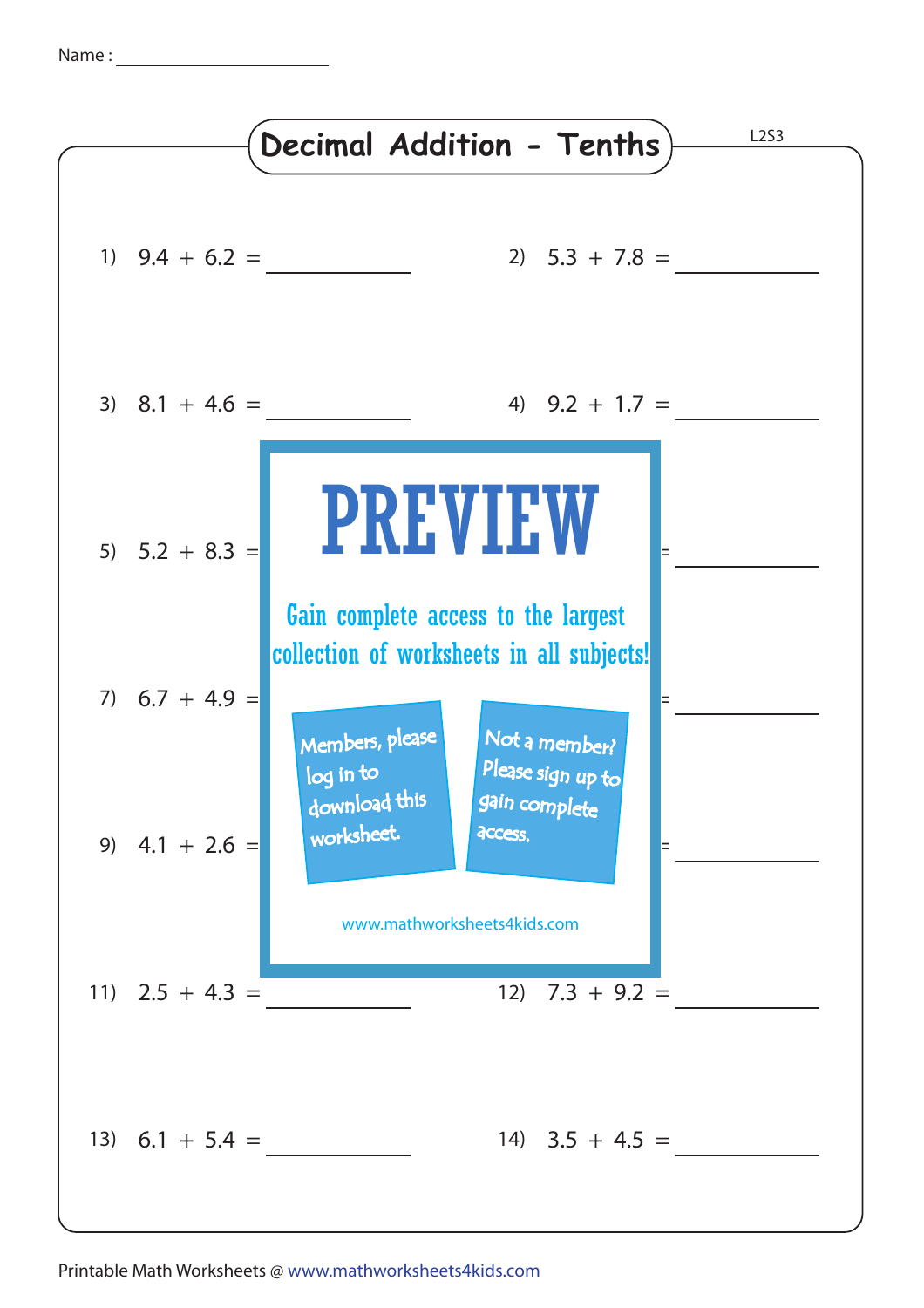